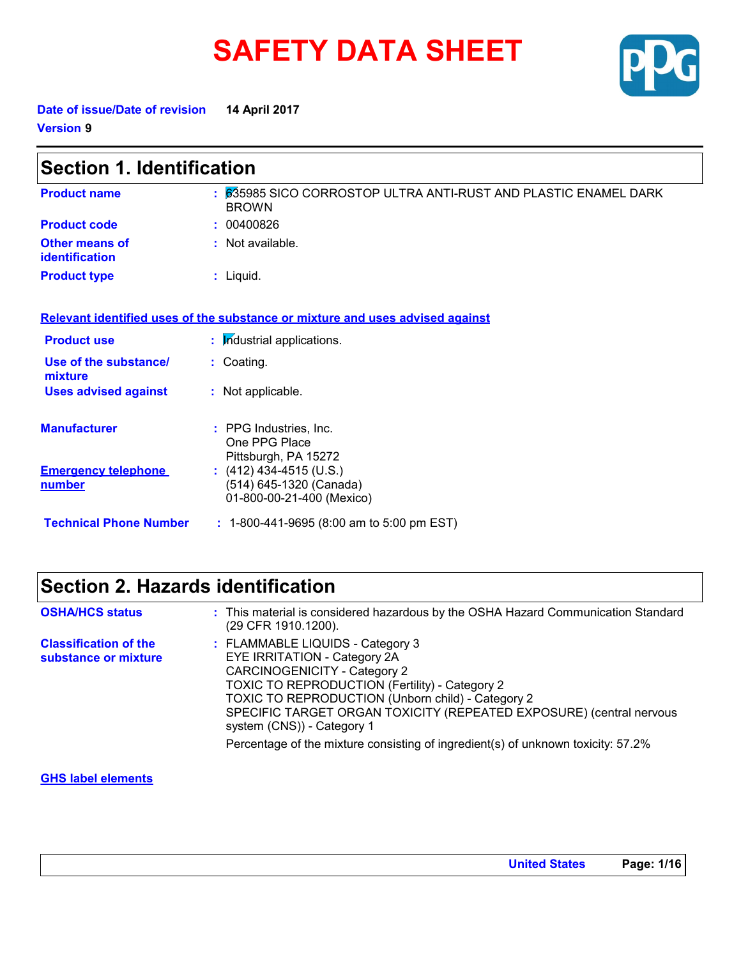# **SAFETY DATA SHEET**



**Date of issue/Date of revision 14 April 2017 Version 9**

| <b>Section 1. Identification</b>               |                                                                                 |  |
|------------------------------------------------|---------------------------------------------------------------------------------|--|
| <b>Product name</b>                            | : 635985 SICO CORROSTOP ULTRA ANTI-RUST AND PLASTIC ENAMEL DARK<br><b>BROWN</b> |  |
| <b>Product code</b>                            | : 00400826                                                                      |  |
| <b>Other means of</b><br><b>identification</b> | : Not available.                                                                |  |
| <b>Product type</b>                            | $:$ Liquid.                                                                     |  |
|                                                | Relevant identified uses of the substance or mixture and uses advised against   |  |
| <b>Product use</b>                             | : Industrial applications.                                                      |  |
| Use of the substance/<br>mixture               | : Coating.                                                                      |  |
| <b>Uses advised against</b>                    | : Not applicable.                                                               |  |
| <b>Manufacturer</b>                            | : PPG Industries, Inc.<br>One PPG Place<br>Pittsburgh, PA 15272                 |  |
| <b>Emergency telephone</b><br>number           | $(412)$ 434-4515 (U.S.)<br>(514) 645-1320 (Canada)<br>01-800-00-21-400 (Mexico) |  |
| <b>Technical Phone Number</b>                  | : 1-800-441-9695 (8:00 am to 5:00 pm EST)                                       |  |

## **Section 2. Hazards identification**

| <b>OSHA/HCS status</b>                               | : This material is considered hazardous by the OSHA Hazard Communication Standard<br>(29 CFR 1910.1200).                                                                                                                                                                                                                                                                                                |
|------------------------------------------------------|---------------------------------------------------------------------------------------------------------------------------------------------------------------------------------------------------------------------------------------------------------------------------------------------------------------------------------------------------------------------------------------------------------|
| <b>Classification of the</b><br>substance or mixture | : FLAMMABLE LIQUIDS - Category 3<br>EYE IRRITATION - Category 2A<br><b>CARCINOGENICITY - Category 2</b><br>TOXIC TO REPRODUCTION (Fertility) - Category 2<br>TOXIC TO REPRODUCTION (Unborn child) - Category 2<br>SPECIFIC TARGET ORGAN TOXICITY (REPEATED EXPOSURE) (central nervous<br>system (CNS)) - Category 1<br>Percentage of the mixture consisting of ingredient(s) of unknown toxicity: 57.2% |
|                                                      |                                                                                                                                                                                                                                                                                                                                                                                                         |

## **GHS label elements**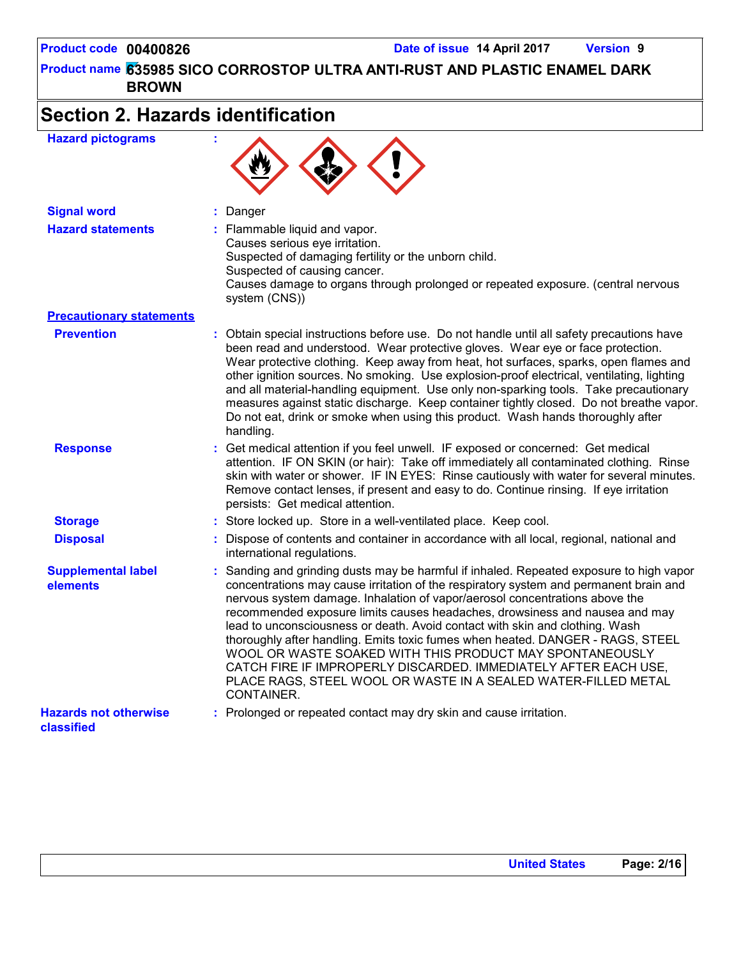# **Section 2. Hazards identification**

| <b>Hazard pictograms</b>                   |                                                                                                                                                                                                                                                                                                                                                                                                                                                                                                                                                                                                                                                                                                                                 |
|--------------------------------------------|---------------------------------------------------------------------------------------------------------------------------------------------------------------------------------------------------------------------------------------------------------------------------------------------------------------------------------------------------------------------------------------------------------------------------------------------------------------------------------------------------------------------------------------------------------------------------------------------------------------------------------------------------------------------------------------------------------------------------------|
| <b>Signal word</b>                         | : Danger                                                                                                                                                                                                                                                                                                                                                                                                                                                                                                                                                                                                                                                                                                                        |
| <b>Hazard statements</b>                   | : Flammable liquid and vapor.<br>Causes serious eye irritation.<br>Suspected of damaging fertility or the unborn child.<br>Suspected of causing cancer.<br>Causes damage to organs through prolonged or repeated exposure. (central nervous<br>system (CNS))                                                                                                                                                                                                                                                                                                                                                                                                                                                                    |
| <b>Precautionary statements</b>            |                                                                                                                                                                                                                                                                                                                                                                                                                                                                                                                                                                                                                                                                                                                                 |
| <b>Prevention</b>                          | : Obtain special instructions before use. Do not handle until all safety precautions have<br>been read and understood. Wear protective gloves. Wear eye or face protection.<br>Wear protective clothing. Keep away from heat, hot surfaces, sparks, open flames and<br>other ignition sources. No smoking. Use explosion-proof electrical, ventilating, lighting<br>and all material-handling equipment. Use only non-sparking tools. Take precautionary<br>measures against static discharge. Keep container tightly closed. Do not breathe vapor.<br>Do not eat, drink or smoke when using this product. Wash hands thoroughly after<br>handling.                                                                             |
| <b>Response</b>                            | : Get medical attention if you feel unwell. IF exposed or concerned: Get medical<br>attention. IF ON SKIN (or hair): Take off immediately all contaminated clothing. Rinse<br>skin with water or shower. IF IN EYES: Rinse cautiously with water for several minutes.<br>Remove contact lenses, if present and easy to do. Continue rinsing. If eye irritation<br>persists: Get medical attention.                                                                                                                                                                                                                                                                                                                              |
| <b>Storage</b>                             | : Store locked up. Store in a well-ventilated place. Keep cool.                                                                                                                                                                                                                                                                                                                                                                                                                                                                                                                                                                                                                                                                 |
| <b>Disposal</b>                            | : Dispose of contents and container in accordance with all local, regional, national and<br>international regulations.                                                                                                                                                                                                                                                                                                                                                                                                                                                                                                                                                                                                          |
| <b>Supplemental label</b><br>elements      | : Sanding and grinding dusts may be harmful if inhaled. Repeated exposure to high vapor<br>concentrations may cause irritation of the respiratory system and permanent brain and<br>nervous system damage. Inhalation of vapor/aerosol concentrations above the<br>recommended exposure limits causes headaches, drowsiness and nausea and may<br>lead to unconsciousness or death. Avoid contact with skin and clothing. Wash<br>thoroughly after handling. Emits toxic fumes when heated. DANGER - RAGS, STEEL<br>WOOL OR WASTE SOAKED WITH THIS PRODUCT MAY SPONTANEOUSLY<br>CATCH FIRE IF IMPROPERLY DISCARDED. IMMEDIATELY AFTER EACH USE,<br>PLACE RAGS, STEEL WOOL OR WASTE IN A SEALED WATER-FILLED METAL<br>CONTAINER. |
| <b>Hazards not otherwise</b><br>classified | : Prolonged or repeated contact may dry skin and cause irritation.                                                                                                                                                                                                                                                                                                                                                                                                                                                                                                                                                                                                                                                              |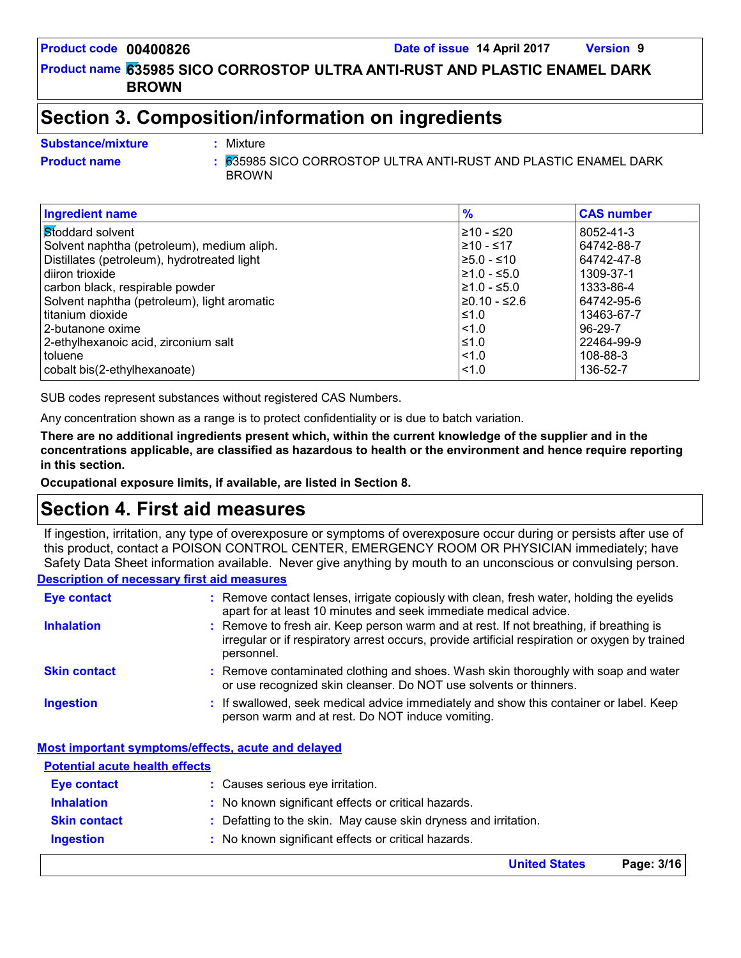**Product code 00400826 Date of issue 14 April 2017 Version 9**

**635985 SICO CORROSTOP ULTRA ANTI-RUST AND PLASTIC ENAMEL DARK Product name BROWN**

## **Section 3. Composition/information on ingredients**

Mixture

#### **Substance/mixture :**

**Product name** 635985 SICO CORROSTOP ULTRA ANTI-RUST AND PLASTIC ENAMEL DARK **:** BROWN

| <b>Ingredient name</b>                      | $\frac{9}{6}$    | <b>CAS number</b> |
|---------------------------------------------|------------------|-------------------|
| Stoddard solvent                            | 210 - ≤20        | 8052-41-3         |
| Solvent naphtha (petroleum), medium aliph.  | 1≥10 - ≤17       | 64742-88-7        |
| Distillates (petroleum), hydrotreated light | $\geq 5.0 - 510$ | 64742-47-8        |
| diiron trioxide                             | $\geq 1.0 - 5.0$ | 1309-37-1         |
| carbon black, respirable powder             | $\geq 1.0 - 5.0$ | 1333-86-4         |
| Solvent naphtha (petroleum), light aromatic | 20.10 - ≤2.6     | 64742-95-6        |
| titanium dioxide                            | I≤1.0            | 13463-67-7        |
| 2-butanone oxime                            | $\leq 1.0$       | $96-29-7$         |
| 2-ethylhexanoic acid, zirconium salt        | $≤1.0$           | 22464-99-9        |
| toluene                                     | $ $ < 1.0        | 108-88-3          |
| cobalt bis(2-ethylhexanoate)                | < 1.0            | 136-52-7          |

SUB codes represent substances without registered CAS Numbers.

Any concentration shown as a range is to protect confidentiality or is due to batch variation.

**There are no additional ingredients present which, within the current knowledge of the supplier and in the concentrations applicable, are classified as hazardous to health or the environment and hence require reporting in this section.**

**Occupational exposure limits, if available, are listed in Section 8.**

## **Section 4. First aid measures**

**Description of necessary first aid measures** If ingestion, irritation, any type of overexposure or symptoms of overexposure occur during or persists after use of this product, contact a POISON CONTROL CENTER, EMERGENCY ROOM OR PHYSICIAN immediately; have Safety Data Sheet information available. Never give anything by mouth to an unconscious or convulsing person.

| <b>Eye contact</b>  | : Remove contact lenses, irrigate copiously with clean, fresh water, holding the eyelids<br>apart for at least 10 minutes and seek immediate medical advice.                                           |  |
|---------------------|--------------------------------------------------------------------------------------------------------------------------------------------------------------------------------------------------------|--|
| <b>Inhalation</b>   | : Remove to fresh air. Keep person warm and at rest. If not breathing, if breathing is<br>irregular or if respiratory arrest occurs, provide artificial respiration or oxygen by trained<br>personnel. |  |
| <b>Skin contact</b> | : Remove contaminated clothing and shoes. Wash skin thoroughly with soap and water<br>or use recognized skin cleanser. Do NOT use solvents or thinners.                                                |  |
| <b>Ingestion</b>    | : If swallowed, seek medical advice immediately and show this container or label. Keep<br>person warm and at rest. Do NOT induce vomiting.                                                             |  |

#### **Most important symptoms/effects, acute and delayed**

|                                       | <b>United States</b>                                            | Page: 3/16 |
|---------------------------------------|-----------------------------------------------------------------|------------|
| <b>Ingestion</b>                      | : No known significant effects or critical hazards.             |            |
| <b>Skin contact</b>                   | : Defatting to the skin. May cause skin dryness and irritation. |            |
| <b>Inhalation</b>                     | : No known significant effects or critical hazards.             |            |
| <b>Eye contact</b>                    | : Causes serious eye irritation.                                |            |
| <b>Potential acute health effects</b> |                                                                 |            |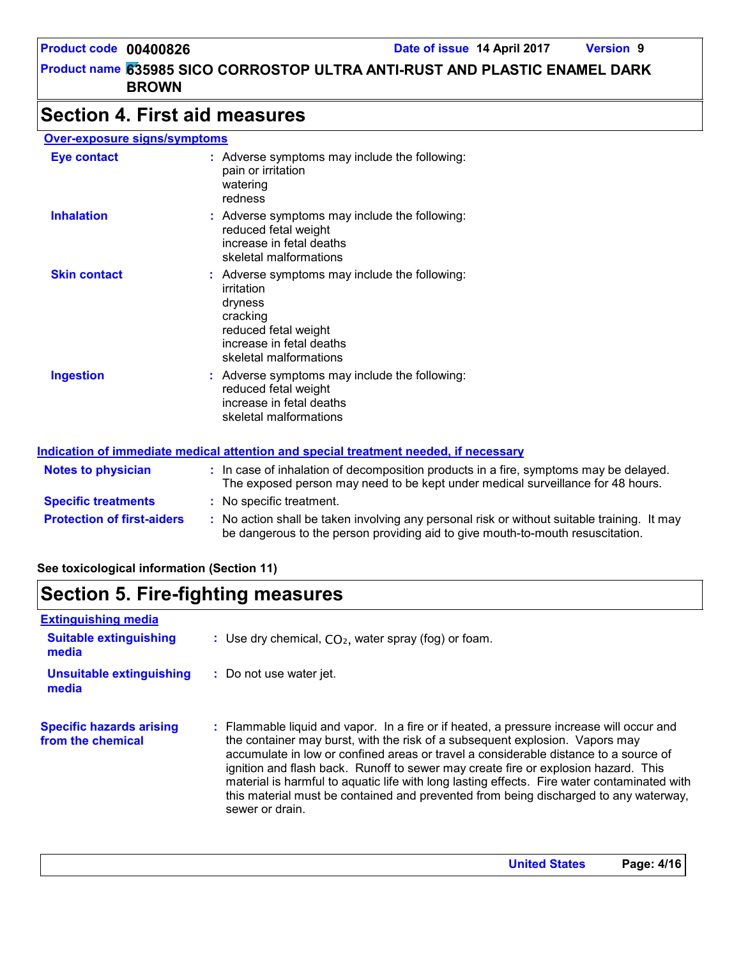## **Section 4. First aid measures**

#### **Over-exposure signs/symptoms**

| <b>Eye contact</b>  | : Adverse symptoms may include the following:<br>pain or irritation<br>watering<br>redness                                                                       |
|---------------------|------------------------------------------------------------------------------------------------------------------------------------------------------------------|
| <b>Inhalation</b>   | : Adverse symptoms may include the following:<br>reduced fetal weight<br>increase in fetal deaths<br>skeletal malformations                                      |
| <b>Skin contact</b> | : Adverse symptoms may include the following:<br>irritation<br>dryness<br>cracking<br>reduced fetal weight<br>increase in fetal deaths<br>skeletal malformations |
| <b>Ingestion</b>    | : Adverse symptoms may include the following:<br>reduced fetal weight<br>increase in fetal deaths<br>skeletal malformations                                      |

#### **Indication of immediate medical attention and special treatment needed, if necessary**

| <b>Notes to physician</b>         | : In case of inhalation of decomposition products in a fire, symptoms may be delayed.<br>The exposed person may need to be kept under medical surveillance for 48 hours.      |
|-----------------------------------|-------------------------------------------------------------------------------------------------------------------------------------------------------------------------------|
| <b>Specific treatments</b>        | : No specific treatment.                                                                                                                                                      |
| <b>Protection of first-aiders</b> | : No action shall be taken involving any personal risk or without suitable training. It may<br>be dangerous to the person providing aid to give mouth-to-mouth resuscitation. |

### **See toxicological information (Section 11)**

## **Section 5. Fire-fighting measures**

| <b>Extinguishing media</b>                           |                                                                                                                                                                                                                                                                                                                                                                                                                                                                                                                                                                  |
|------------------------------------------------------|------------------------------------------------------------------------------------------------------------------------------------------------------------------------------------------------------------------------------------------------------------------------------------------------------------------------------------------------------------------------------------------------------------------------------------------------------------------------------------------------------------------------------------------------------------------|
| <b>Suitable extinguishing</b><br>media               | : Use dry chemical, $CO2$ , water spray (fog) or foam.                                                                                                                                                                                                                                                                                                                                                                                                                                                                                                           |
| <b>Unsuitable extinguishing</b><br>media             | : Do not use water jet.                                                                                                                                                                                                                                                                                                                                                                                                                                                                                                                                          |
| <b>Specific hazards arising</b><br>from the chemical | : Flammable liquid and vapor. In a fire or if heated, a pressure increase will occur and<br>the container may burst, with the risk of a subsequent explosion. Vapors may<br>accumulate in low or confined areas or travel a considerable distance to a source of<br>ignition and flash back. Runoff to sewer may create fire or explosion hazard. This<br>material is harmful to aquatic life with long lasting effects. Fire water contaminated with<br>this material must be contained and prevented from being discharged to any waterway,<br>sewer or drain. |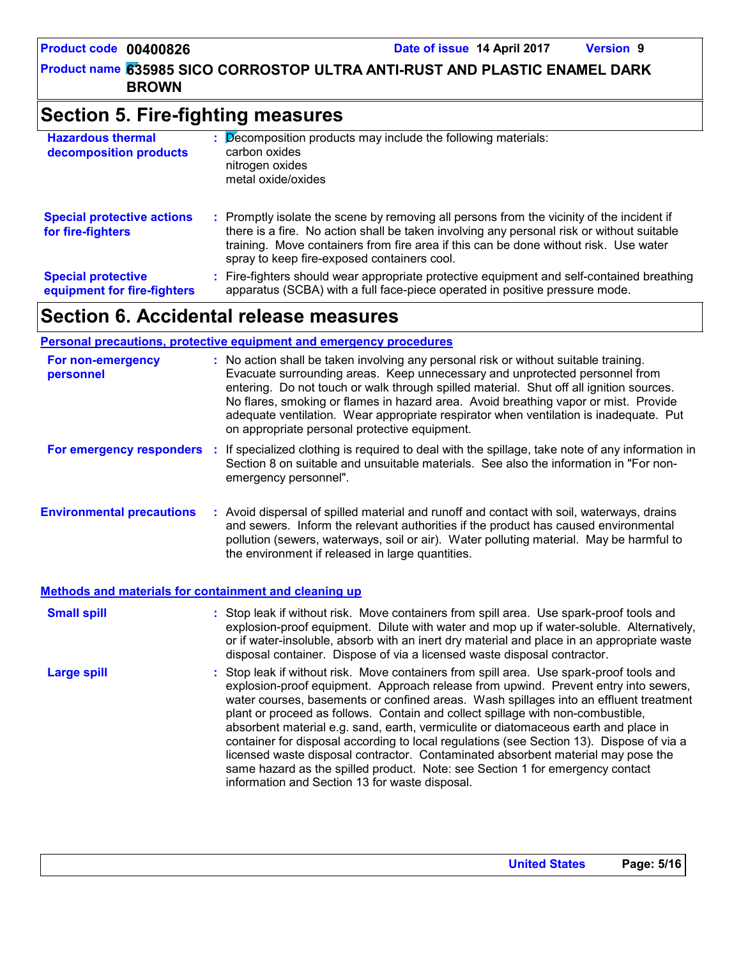## **Section 5. Fire-fighting measures**

| <b>Hazardous thermal</b><br>decomposition products       | t. | Decomposition products may include the following materials:<br>carbon oxides<br>nitrogen oxides<br>metal oxide/oxides                                                                                                                                                                                                         |
|----------------------------------------------------------|----|-------------------------------------------------------------------------------------------------------------------------------------------------------------------------------------------------------------------------------------------------------------------------------------------------------------------------------|
| <b>Special protective actions</b><br>for fire-fighters   |    | : Promptly isolate the scene by removing all persons from the vicinity of the incident if<br>there is a fire. No action shall be taken involving any personal risk or without suitable<br>training. Move containers from fire area if this can be done without risk. Use water<br>spray to keep fire-exposed containers cool. |
| <b>Special protective</b><br>equipment for fire-fighters |    | : Fire-fighters should wear appropriate protective equipment and self-contained breathing<br>apparatus (SCBA) with a full face-piece operated in positive pressure mode.                                                                                                                                                      |

## **Section 6. Accidental release measures**

## **Personal precautions, protective equipment and emergency procedures**

| For non-emergency<br>personnel    | : No action shall be taken involving any personal risk or without suitable training.<br>Evacuate surrounding areas. Keep unnecessary and unprotected personnel from<br>entering. Do not touch or walk through spilled material. Shut off all ignition sources.<br>No flares, smoking or flames in hazard area. Avoid breathing vapor or mist. Provide<br>adequate ventilation. Wear appropriate respirator when ventilation is inadequate. Put<br>on appropriate personal protective equipment. |
|-----------------------------------|-------------------------------------------------------------------------------------------------------------------------------------------------------------------------------------------------------------------------------------------------------------------------------------------------------------------------------------------------------------------------------------------------------------------------------------------------------------------------------------------------|
| <b>For emergency responders :</b> | If specialized clothing is required to deal with the spillage, take note of any information in<br>Section 8 on suitable and unsuitable materials. See also the information in "For non-<br>emergency personnel".                                                                                                                                                                                                                                                                                |
| <b>Environmental precautions</b>  | : Avoid dispersal of spilled material and runoff and contact with soil, waterways, drains<br>and sewers. Inform the relevant authorities if the product has caused environmental<br>pollution (sewers, waterways, soil or air). Water polluting material. May be harmful to<br>the environment if released in large quantities.                                                                                                                                                                 |

#### **Methods and materials for containment and cleaning up**

| <b>Small spill</b> | : Stop leak if without risk. Move containers from spill area. Use spark-proof tools and<br>explosion-proof equipment. Dilute with water and mop up if water-soluble. Alternatively,<br>or if water-insoluble, absorb with an inert dry material and place in an appropriate waste<br>disposal container. Dispose of via a licensed waste disposal contractor.                                                                                                                                                                                                                                                                                                                                                                                                        |
|--------------------|----------------------------------------------------------------------------------------------------------------------------------------------------------------------------------------------------------------------------------------------------------------------------------------------------------------------------------------------------------------------------------------------------------------------------------------------------------------------------------------------------------------------------------------------------------------------------------------------------------------------------------------------------------------------------------------------------------------------------------------------------------------------|
| <b>Large spill</b> | : Stop leak if without risk. Move containers from spill area. Use spark-proof tools and<br>explosion-proof equipment. Approach release from upwind. Prevent entry into sewers,<br>water courses, basements or confined areas. Wash spillages into an effluent treatment<br>plant or proceed as follows. Contain and collect spillage with non-combustible,<br>absorbent material e.g. sand, earth, vermiculite or diatomaceous earth and place in<br>container for disposal according to local regulations (see Section 13). Dispose of via a<br>licensed waste disposal contractor. Contaminated absorbent material may pose the<br>same hazard as the spilled product. Note: see Section 1 for emergency contact<br>information and Section 13 for waste disposal. |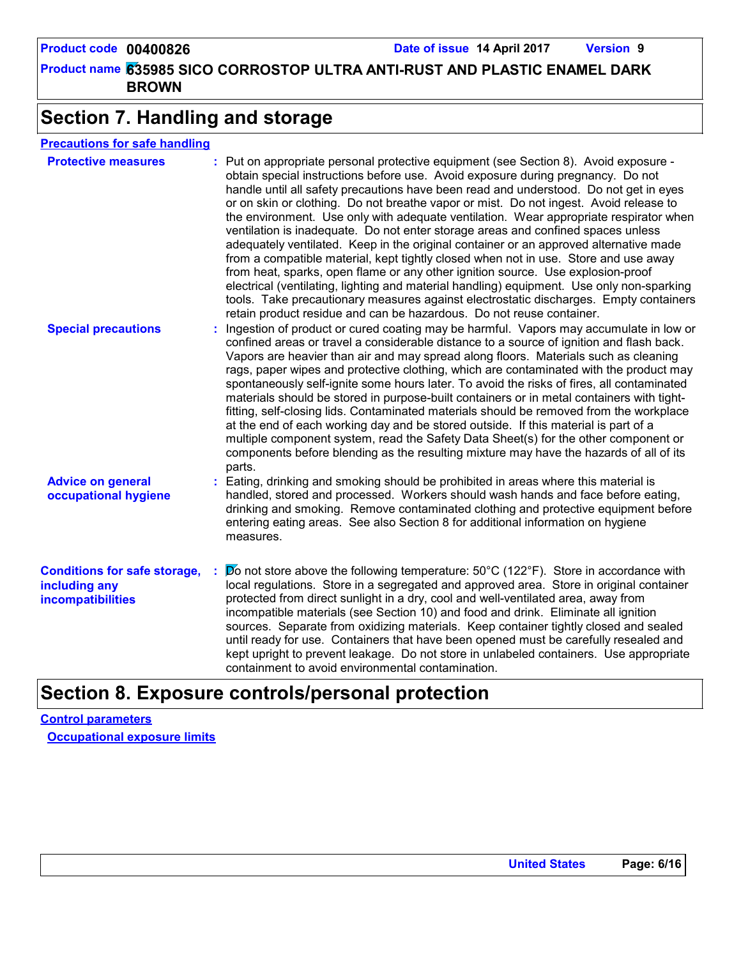## **Section 7. Handling and storage**

## **Precautions for safe handling**

| <b>Protective measures</b>                                                       | : Put on appropriate personal protective equipment (see Section 8). Avoid exposure -<br>obtain special instructions before use. Avoid exposure during pregnancy. Do not<br>handle until all safety precautions have been read and understood. Do not get in eyes<br>or on skin or clothing. Do not breathe vapor or mist. Do not ingest. Avoid release to<br>the environment. Use only with adequate ventilation. Wear appropriate respirator when<br>ventilation is inadequate. Do not enter storage areas and confined spaces unless<br>adequately ventilated. Keep in the original container or an approved alternative made<br>from a compatible material, kept tightly closed when not in use. Store and use away<br>from heat, sparks, open flame or any other ignition source. Use explosion-proof<br>electrical (ventilating, lighting and material handling) equipment. Use only non-sparking<br>tools. Take precautionary measures against electrostatic discharges. Empty containers<br>retain product residue and can be hazardous. Do not reuse container. |
|----------------------------------------------------------------------------------|-------------------------------------------------------------------------------------------------------------------------------------------------------------------------------------------------------------------------------------------------------------------------------------------------------------------------------------------------------------------------------------------------------------------------------------------------------------------------------------------------------------------------------------------------------------------------------------------------------------------------------------------------------------------------------------------------------------------------------------------------------------------------------------------------------------------------------------------------------------------------------------------------------------------------------------------------------------------------------------------------------------------------------------------------------------------------|
| <b>Special precautions</b>                                                       | Ingestion of product or cured coating may be harmful. Vapors may accumulate in low or<br>confined areas or travel a considerable distance to a source of ignition and flash back.<br>Vapors are heavier than air and may spread along floors. Materials such as cleaning<br>rags, paper wipes and protective clothing, which are contaminated with the product may<br>spontaneously self-ignite some hours later. To avoid the risks of fires, all contaminated<br>materials should be stored in purpose-built containers or in metal containers with tight-<br>fitting, self-closing lids. Contaminated materials should be removed from the workplace<br>at the end of each working day and be stored outside. If this material is part of a<br>multiple component system, read the Safety Data Sheet(s) for the other component or<br>components before blending as the resulting mixture may have the hazards of all of its<br>parts.                                                                                                                               |
| <b>Advice on general</b><br>occupational hygiene                                 | : Eating, drinking and smoking should be prohibited in areas where this material is<br>handled, stored and processed. Workers should wash hands and face before eating,<br>drinking and smoking. Remove contaminated clothing and protective equipment before<br>entering eating areas. See also Section 8 for additional information on hygiene<br>measures.                                                                                                                                                                                                                                                                                                                                                                                                                                                                                                                                                                                                                                                                                                           |
| <b>Conditions for safe storage,</b><br>including any<br><b>incompatibilities</b> | $\blacktriangleright$ on t store above the following temperature: 50°C (122°F). Store in accordance with<br>local regulations. Store in a segregated and approved area. Store in original container<br>protected from direct sunlight in a dry, cool and well-ventilated area, away from<br>incompatible materials (see Section 10) and food and drink. Eliminate all ignition<br>sources. Separate from oxidizing materials. Keep container tightly closed and sealed<br>until ready for use. Containers that have been opened must be carefully resealed and<br>kept upright to prevent leakage. Do not store in unlabeled containers. Use appropriate<br>containment to avoid environmental contamination.                                                                                                                                                                                                                                                                                                                                                           |

## **Section 8. Exposure controls/personal protection**

**Control parameters Occupational exposure limits**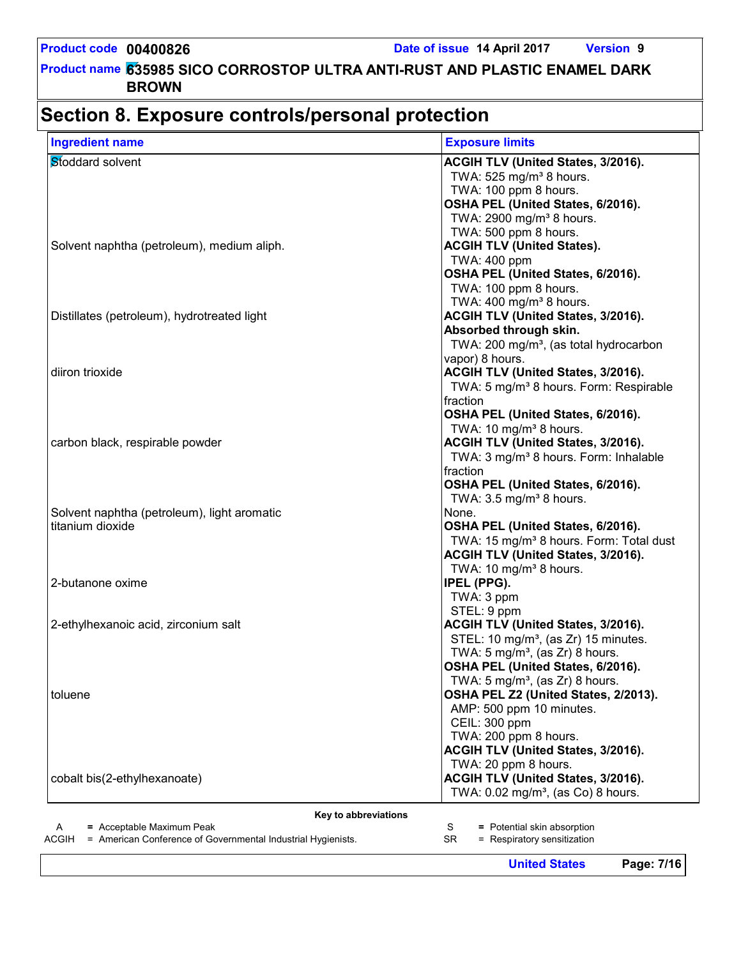## **Section 8. Exposure controls/personal protection**

| <b>Ingredient name</b>                                                       | <b>Exposure limits</b>                                   |
|------------------------------------------------------------------------------|----------------------------------------------------------|
| Stoddard solvent                                                             | ACGIH TLV (United States, 3/2016).                       |
|                                                                              | TWA: 525 mg/m <sup>3</sup> 8 hours.                      |
|                                                                              | TWA: 100 ppm 8 hours.                                    |
|                                                                              | OSHA PEL (United States, 6/2016).                        |
|                                                                              | TWA: 2900 mg/m <sup>3</sup> 8 hours.                     |
|                                                                              | TWA: 500 ppm 8 hours.                                    |
| Solvent naphtha (petroleum), medium aliph.                                   | <b>ACGIH TLV (United States).</b>                        |
|                                                                              | TWA: 400 ppm                                             |
|                                                                              | OSHA PEL (United States, 6/2016).                        |
|                                                                              | TWA: 100 ppm 8 hours.                                    |
|                                                                              | TWA: $400$ mg/m <sup>3</sup> 8 hours.                    |
| Distillates (petroleum), hydrotreated light                                  | <b>ACGIH TLV (United States, 3/2016).</b>                |
|                                                                              | Absorbed through skin.                                   |
|                                                                              | TWA: 200 mg/m <sup>3</sup> , (as total hydrocarbon       |
|                                                                              | vapor) 8 hours.                                          |
| diiron trioxide                                                              | <b>ACGIH TLV (United States, 3/2016).</b>                |
|                                                                              | TWA: 5 mg/m <sup>3</sup> 8 hours. Form: Respirable       |
|                                                                              | fraction                                                 |
|                                                                              | OSHA PEL (United States, 6/2016).                        |
|                                                                              | TWA: 10 mg/m <sup>3</sup> 8 hours.                       |
| carbon black, respirable powder                                              | <b>ACGIH TLV (United States, 3/2016).</b>                |
|                                                                              | TWA: 3 mg/m <sup>3</sup> 8 hours. Form: Inhalable        |
|                                                                              | fraction                                                 |
|                                                                              | OSHA PEL (United States, 6/2016).                        |
|                                                                              | TWA: $3.5 \text{ mg/m}^3$ 8 hours.                       |
| Solvent naphtha (petroleum), light aromatic                                  | None.                                                    |
| titanium dioxide                                                             | OSHA PEL (United States, 6/2016).                        |
|                                                                              | TWA: 15 mg/m <sup>3</sup> 8 hours. Form: Total dust      |
|                                                                              | <b>ACGIH TLV (United States, 3/2016).</b>                |
|                                                                              | TWA: 10 mg/m <sup>3</sup> 8 hours.                       |
| 2-butanone oxime                                                             | <b>IPEL (PPG).</b>                                       |
|                                                                              | TWA: 3 ppm                                               |
| 2-ethylhexanoic acid, zirconium salt                                         | STEL: 9 ppm<br><b>ACGIH TLV (United States, 3/2016).</b> |
|                                                                              | STEL: 10 mg/m <sup>3</sup> , (as Zr) 15 minutes.         |
|                                                                              | TWA: $5 \text{ mg/m}^3$ , (as Zr) 8 hours.               |
|                                                                              | OSHA PEL (United States, 6/2016).                        |
|                                                                              | TWA: 5 mg/m <sup>3</sup> , (as Zr) 8 hours.              |
| toluene                                                                      | OSHA PEL Z2 (United States, 2/2013).                     |
|                                                                              | AMP: 500 ppm 10 minutes.                                 |
|                                                                              | CEIL: 300 ppm                                            |
|                                                                              | TWA: 200 ppm 8 hours.                                    |
|                                                                              | ACGIH TLV (United States, 3/2016).                       |
|                                                                              | TWA: 20 ppm 8 hours.                                     |
| cobalt bis(2-ethylhexanoate)                                                 | <b>ACGIH TLV (United States, 3/2016).</b>                |
|                                                                              | TWA: $0.02$ mg/m <sup>3</sup> , (as Co) 8 hours.         |
|                                                                              |                                                          |
| Key to abbreviations                                                         |                                                          |
| = Acceptable Maximum Peak<br>A                                               | = Potential skin absorption<br>S                         |
| <b>ACGIH</b><br>= American Conference of Governmental Industrial Hygienists. | <b>SR</b><br>= Respiratory sensitization                 |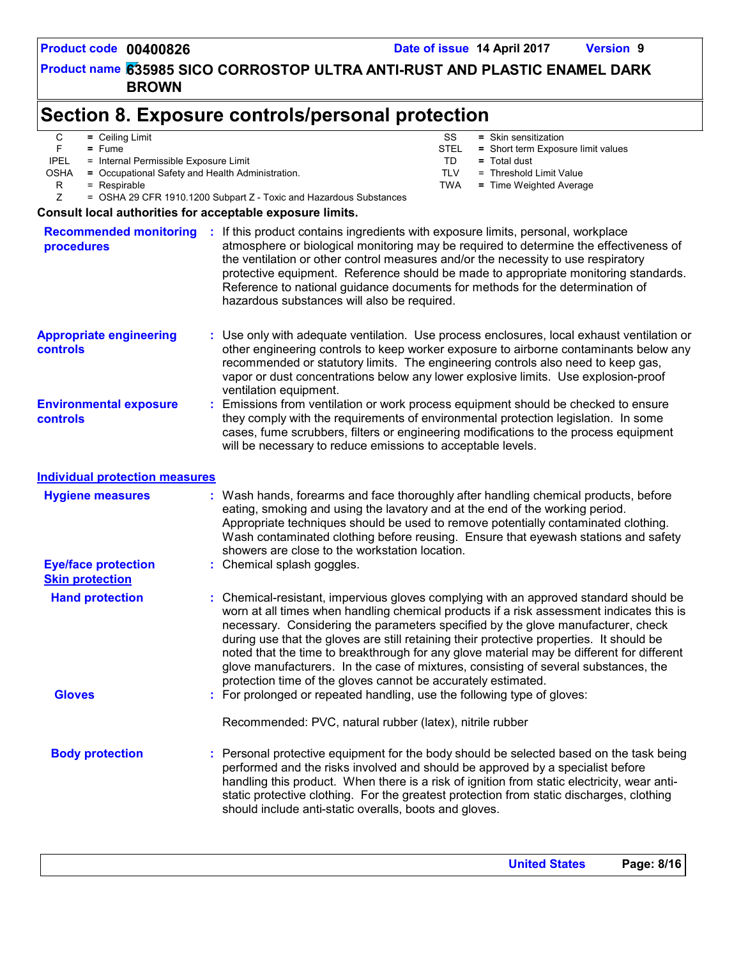## **Section 8. Exposure controls/personal protection**

| U |  | $=$ Ceiling Lig |  |
|---|--|-----------------|--|
|---|--|-----------------|--|

- F **=** Fume
- IPEL = Internal Permissible Exposure Limit
- OSHA **=** Occupational Safety and Health Administration.
	- R = Respirable
- **Community** SS = Skin sensitization STEL **=** Short term Exposure limit values
	- TD **=** Total dust
	- TLV = Threshold Limit Value
	- TWA **=** Time Weighted Average

Z = OSHA 29 CFR 1910.1200 Subpart Z - Toxic and Hazardous Substances

### **Consult local authorities for acceptable exposure limits.**

| <b>Recommended monitoring</b><br>procedures           | : If this product contains ingredients with exposure limits, personal, workplace<br>atmosphere or biological monitoring may be required to determine the effectiveness of<br>the ventilation or other control measures and/or the necessity to use respiratory<br>protective equipment. Reference should be made to appropriate monitoring standards.<br>Reference to national guidance documents for methods for the determination of<br>hazardous substances will also be required.                                                                                                                                  |
|-------------------------------------------------------|------------------------------------------------------------------------------------------------------------------------------------------------------------------------------------------------------------------------------------------------------------------------------------------------------------------------------------------------------------------------------------------------------------------------------------------------------------------------------------------------------------------------------------------------------------------------------------------------------------------------|
| <b>Appropriate engineering</b><br>controls            | : Use only with adequate ventilation. Use process enclosures, local exhaust ventilation or<br>other engineering controls to keep worker exposure to airborne contaminants below any<br>recommended or statutory limits. The engineering controls also need to keep gas,<br>vapor or dust concentrations below any lower explosive limits. Use explosion-proof<br>ventilation equipment.                                                                                                                                                                                                                                |
| <b>Environmental exposure</b><br>controls             | : Emissions from ventilation or work process equipment should be checked to ensure<br>they comply with the requirements of environmental protection legislation. In some<br>cases, fume scrubbers, filters or engineering modifications to the process equipment<br>will be necessary to reduce emissions to acceptable levels.                                                                                                                                                                                                                                                                                        |
| <b>Individual protection measures</b>                 |                                                                                                                                                                                                                                                                                                                                                                                                                                                                                                                                                                                                                        |
| <b>Hygiene measures</b><br><b>Eye/face protection</b> | : Wash hands, forearms and face thoroughly after handling chemical products, before<br>eating, smoking and using the lavatory and at the end of the working period.<br>Appropriate techniques should be used to remove potentially contaminated clothing.<br>Wash contaminated clothing before reusing. Ensure that eyewash stations and safety<br>showers are close to the workstation location.<br>: Chemical splash goggles.                                                                                                                                                                                        |
| <b>Skin protection</b>                                |                                                                                                                                                                                                                                                                                                                                                                                                                                                                                                                                                                                                                        |
| <b>Hand protection</b>                                | : Chemical-resistant, impervious gloves complying with an approved standard should be<br>worn at all times when handling chemical products if a risk assessment indicates this is<br>necessary. Considering the parameters specified by the glove manufacturer, check<br>during use that the gloves are still retaining their protective properties. It should be<br>noted that the time to breakthrough for any glove material may be different for different<br>glove manufacturers. In the case of mixtures, consisting of several substances, the<br>protection time of the gloves cannot be accurately estimated. |
| <b>Gloves</b>                                         | : For prolonged or repeated handling, use the following type of gloves:                                                                                                                                                                                                                                                                                                                                                                                                                                                                                                                                                |
|                                                       | Recommended: PVC, natural rubber (latex), nitrile rubber                                                                                                                                                                                                                                                                                                                                                                                                                                                                                                                                                               |
| <b>Body protection</b>                                | : Personal protective equipment for the body should be selected based on the task being<br>performed and the risks involved and should be approved by a specialist before<br>handling this product. When there is a risk of ignition from static electricity, wear anti-<br>static protective clothing. For the greatest protection from static discharges, clothing<br>should include anti-static overalls, boots and gloves.                                                                                                                                                                                         |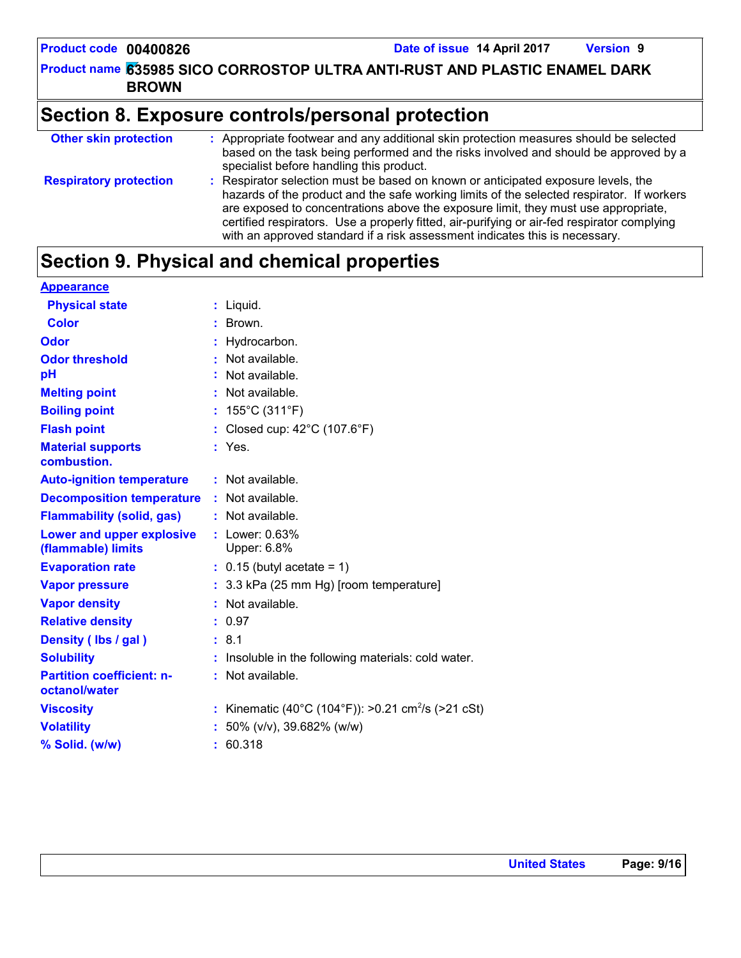**Product code 00400826 Date of issue 14 April 2017 Version 9**

**635985 SICO CORROSTOP ULTRA ANTI-RUST AND PLASTIC ENAMEL DARK Product name BROWN**

## **Section 8. Exposure controls/personal protection**

| <b>Other skin protection</b>  | : Appropriate footwear and any additional skin protection measures should be selected<br>based on the task being performed and the risks involved and should be approved by a<br>specialist before handling this product.                                                                                                                                                                                                                          |
|-------------------------------|----------------------------------------------------------------------------------------------------------------------------------------------------------------------------------------------------------------------------------------------------------------------------------------------------------------------------------------------------------------------------------------------------------------------------------------------------|
| <b>Respiratory protection</b> | : Respirator selection must be based on known or anticipated exposure levels, the<br>hazards of the product and the safe working limits of the selected respirator. If workers<br>are exposed to concentrations above the exposure limit, they must use appropriate,<br>certified respirators. Use a properly fitted, air-purifying or air-fed respirator complying<br>with an approved standard if a risk assessment indicates this is necessary. |

## **Section 9. Physical and chemical properties**

| <b>Appearance</b>                                 |                                                                |
|---------------------------------------------------|----------------------------------------------------------------|
| <b>Physical state</b>                             | $:$ Liquid.                                                    |
| <b>Color</b>                                      | Brown.                                                         |
| Odor                                              | Hydrocarbon.                                                   |
| <b>Odor threshold</b>                             | Not available.                                                 |
| pH                                                | Not available.                                                 |
| <b>Melting point</b>                              | Not available.                                                 |
| <b>Boiling point</b>                              | 155°C (311°F)                                                  |
| <b>Flash point</b>                                | : Closed cup: $42^{\circ}$ C (107.6 $^{\circ}$ F)              |
| <b>Material supports</b>                          | : Yes.                                                         |
| combustion.                                       |                                                                |
| <b>Auto-ignition temperature</b>                  | : Not available.                                               |
| <b>Decomposition temperature</b>                  | $:$ Not available.                                             |
| <b>Flammability (solid, gas)</b>                  | : Not available.                                               |
| Lower and upper explosive                         | : Lower: 0.63%                                                 |
| (flammable) limits                                | Upper: 6.8%                                                    |
| <b>Evaporation rate</b>                           | $: 0.15$ (butyl acetate = 1)                                   |
| <b>Vapor pressure</b>                             | : 3.3 kPa (25 mm Hg) [room temperature]                        |
| <b>Vapor density</b>                              | : Not available.                                               |
| <b>Relative density</b>                           | : 0.97                                                         |
| Density (Ibs / gal)                               | : 8.1                                                          |
| <b>Solubility</b>                                 | Insoluble in the following materials: cold water.              |
| <b>Partition coefficient: n-</b><br>octanol/water | : Not available.                                               |
| <b>Viscosity</b>                                  | : Kinematic (40°C (104°F)): >0.21 cm <sup>2</sup> /s (>21 cSt) |
| <b>Volatility</b>                                 | 50% (v/v), 39.682% (w/w)                                       |
| % Solid. (w/w)                                    | : 60.318                                                       |
|                                                   |                                                                |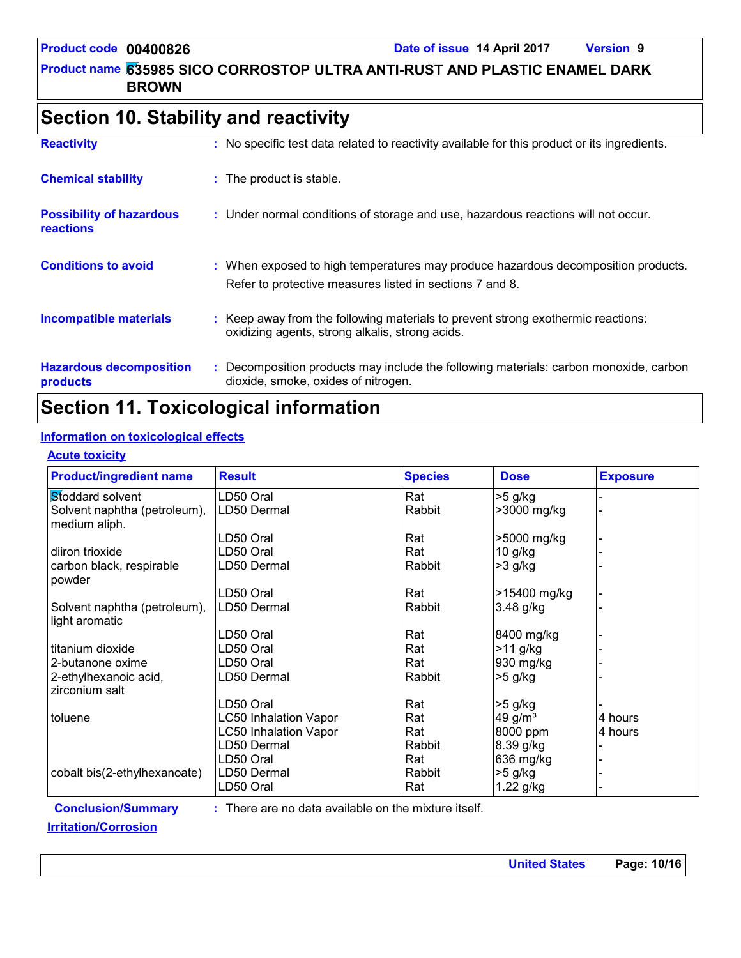## **Section 10. Stability and reactivity**

| <b>Reactivity</b>                                   | : No specific test data related to reactivity available for this product or its ingredients.                                                  |
|-----------------------------------------------------|-----------------------------------------------------------------------------------------------------------------------------------------------|
| <b>Chemical stability</b>                           | : The product is stable.                                                                                                                      |
| <b>Possibility of hazardous</b><br><b>reactions</b> | : Under normal conditions of storage and use, hazardous reactions will not occur.                                                             |
| <b>Conditions to avoid</b>                          | : When exposed to high temperatures may produce hazardous decomposition products.<br>Refer to protective measures listed in sections 7 and 8. |
| <b>Incompatible materials</b>                       | : Keep away from the following materials to prevent strong exothermic reactions:<br>oxidizing agents, strong alkalis, strong acids.           |
| <b>Hazardous decomposition</b><br>products          | : Decomposition products may include the following materials: carbon monoxide, carbon<br>dioxide, smoke, oxides of nitrogen.                  |

## **Section 11. Toxicological information**

## **Information on toxicological effects**

### **Acute toxicity**

| <b>Product/ingredient name</b>                 | <b>Result</b>                | <b>Species</b> | <b>Dose</b>  | <b>Exposure</b> |
|------------------------------------------------|------------------------------|----------------|--------------|-----------------|
| Stoddard solvent                               | LD50 Oral                    | Rat            | $>5$ g/kg    |                 |
| Solvent naphtha (petroleum),<br>medium aliph.  | LD50 Dermal                  | Rabbit         | >3000 mg/kg  |                 |
|                                                | LD50 Oral                    | Rat            | >5000 mg/kg  |                 |
| diiron trioxide                                | LD50 Oral                    | Rat            | $10$ g/kg    |                 |
| carbon black, respirable<br>powder             | LD50 Dermal                  | Rabbit         | $>3$ g/kg    |                 |
|                                                | LD50 Oral                    | Rat            | >15400 mg/kg |                 |
| Solvent naphtha (petroleum),<br>light aromatic | LD50 Dermal                  | Rabbit         | 3.48 g/kg    |                 |
|                                                | LD50 Oral                    | Rat            | 8400 mg/kg   |                 |
| titanium dioxide                               | LD50 Oral                    | Rat            | >11 g/kg     |                 |
| 2-butanone oxime                               | LD50 Oral                    | Rat            | 930 mg/kg    |                 |
| 2-ethylhexanoic acid,<br>zirconium salt        | LD50 Dermal                  | Rabbit         | $>5$ g/kg    |                 |
|                                                | LD50 Oral                    | Rat            | >5 g/kg      |                 |
| toluene                                        | <b>LC50 Inhalation Vapor</b> | Rat            | 49 g/ $m3$   | 4 hours         |
|                                                | <b>LC50 Inhalation Vapor</b> | Rat            | 8000 ppm     | 4 hours         |
|                                                | LD50 Dermal                  | Rabbit         | 8.39 g/kg    |                 |
|                                                | LD50 Oral                    | Rat            | 636 mg/kg    |                 |
| cobalt bis(2-ethylhexanoate)                   | LD50 Dermal                  | Rabbit         | $>5$ g/kg    |                 |
|                                                | LD50 Oral                    | Rat            | 1.22 g/kg    |                 |

## **Conclusion/Summary :**

: There are no data available on the mixture itself.

## **Irritation/Corrosion**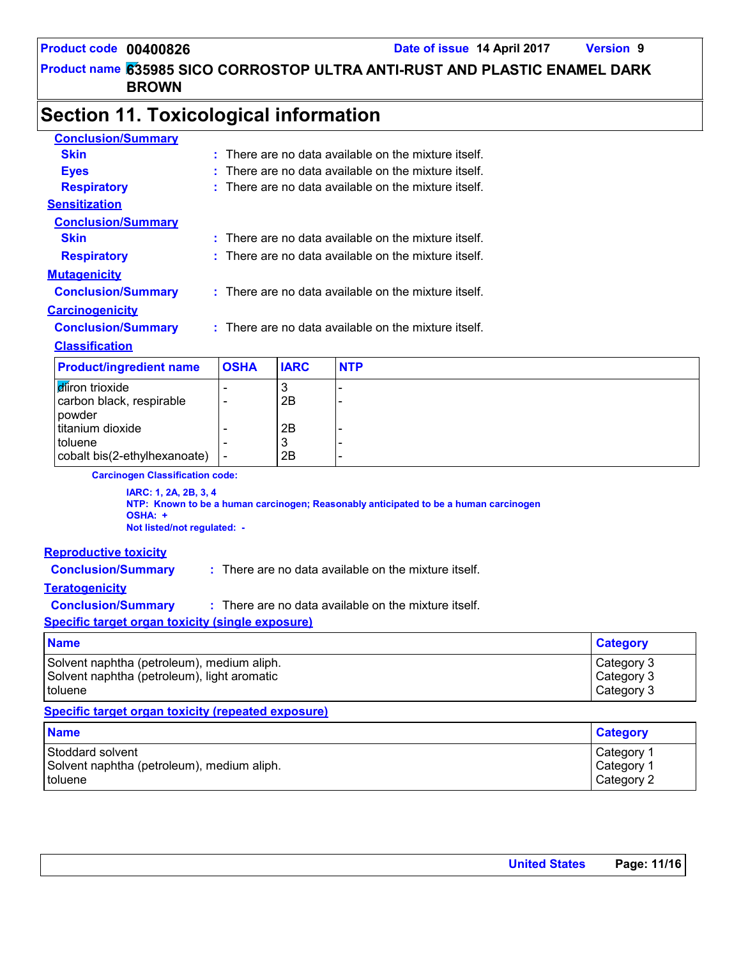**635985 SICO CORROSTOP ULTRA ANTI-RUST AND PLASTIC ENAMEL DARK Product name BROWN**

## **Section 11. Toxicological information**

| <b>Conclusion/Summary</b>                                       |                |             |                                                                                      |                 |
|-----------------------------------------------------------------|----------------|-------------|--------------------------------------------------------------------------------------|-----------------|
| <b>Skin</b>                                                     |                |             | : There are no data available on the mixture itself.                                 |                 |
| <b>Eyes</b>                                                     |                |             | There are no data available on the mixture itself.                                   |                 |
| <b>Respiratory</b>                                              |                |             | : There are no data available on the mixture itself.                                 |                 |
| <b>Sensitization</b>                                            |                |             |                                                                                      |                 |
| <b>Conclusion/Summary</b>                                       |                |             |                                                                                      |                 |
| <b>Skin</b>                                                     |                |             | $:$ There are no data available on the mixture itself.                               |                 |
| <b>Respiratory</b>                                              |                |             | : There are no data available on the mixture itself.                                 |                 |
| <b>Mutagenicity</b>                                             |                |             |                                                                                      |                 |
| <b>Conclusion/Summary</b>                                       |                |             | : There are no data available on the mixture itself.                                 |                 |
| <b>Carcinogenicity</b>                                          |                |             |                                                                                      |                 |
| <b>Conclusion/Summary</b>                                       |                |             | : There are no data available on the mixture itself.                                 |                 |
| <b>Classification</b>                                           |                |             |                                                                                      |                 |
| <b>Product/ingredient name</b>                                  | <b>OSHA</b>    | <b>IARC</b> | <b>NTP</b>                                                                           |                 |
| diron trioxide                                                  |                | 3           |                                                                                      |                 |
| carbon black, respirable                                        |                | 2B          |                                                                                      |                 |
| powder                                                          |                |             |                                                                                      |                 |
| titanium dioxide                                                |                | 2Β          |                                                                                      |                 |
| toluene<br>cobalt bis(2-ethylhexanoate)                         | $\overline{a}$ | 3<br>2B     |                                                                                      |                 |
| <b>Carcinogen Classification code:</b>                          |                |             |                                                                                      |                 |
| IARC: 1, 2A, 2B, 3, 4<br>OSHA: +<br>Not listed/not regulated: - |                |             | NTP: Known to be a human carcinogen; Reasonably anticipated to be a human carcinogen |                 |
| <b>Reproductive toxicity</b>                                    |                |             |                                                                                      |                 |
| <b>Conclusion/Summary</b>                                       |                |             | : There are no data available on the mixture itself.                                 |                 |
| <b>Teratogenicity</b>                                           |                |             |                                                                                      |                 |
| <b>Conclusion/Summary</b>                                       |                |             | : There are no data available on the mixture itself.                                 |                 |
| <b>Specific target organ toxicity (single exposure)</b>         |                |             |                                                                                      |                 |
| <b>Name</b>                                                     |                |             |                                                                                      | <b>Category</b> |
| Solvent naphtha (petroleum), medium aliph.                      |                |             |                                                                                      | Category 3      |
| Solvent naphtha (petroleum), light aromatic                     |                |             | Category 3                                                                           |                 |
| toluene                                                         |                |             |                                                                                      | Category 3      |
| <b>Specific target organ toxicity (repeated exposure)</b>       |                |             |                                                                                      |                 |
| <b>Name</b>                                                     |                |             |                                                                                      | <b>Category</b> |
| Stoddard solvent                                                |                |             |                                                                                      | Category 1      |
| Solvent naphtha (petroleum), medium aliph.                      |                |             |                                                                                      | Category 1      |
| toluene                                                         |                |             |                                                                                      | Category 2      |

**United States Page: 11/16**

toluene Category 2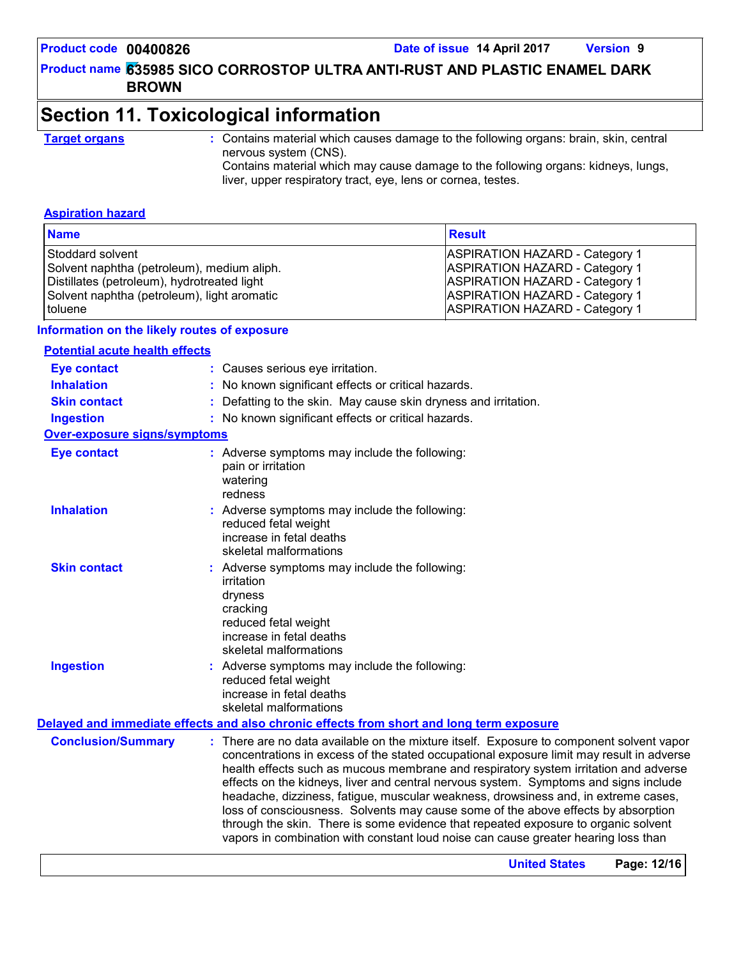#### **Product code 00400826 Date of issue 14 April 2017 Version 9**

## **635985 SICO CORROSTOP ULTRA ANTI-RUST AND PLASTIC ENAMEL DARK Product name BROWN**

## **Section 11. Toxicological information**

**Target organs :** Contains material which causes damage to the following organs: brain, skin, central nervous system (CNS).

Contains material which may cause damage to the following organs: kidneys, lungs, liver, upper respiratory tract, eye, lens or cornea, testes.

#### **Aspiration hazard**

| <b>Name</b>                                 | <b>Result</b>                         |
|---------------------------------------------|---------------------------------------|
| Stoddard solvent                            | <b>ASPIRATION HAZARD - Category 1</b> |
| Solvent naphtha (petroleum), medium aliph.  | <b>ASPIRATION HAZARD - Category 1</b> |
| Distillates (petroleum), hydrotreated light | <b>ASPIRATION HAZARD - Category 1</b> |
| Solvent naphtha (petroleum), light aromatic | <b>ASPIRATION HAZARD - Category 1</b> |
| l toluene                                   | <b>ASPIRATION HAZARD - Category 1</b> |

#### **Information on the likely routes of exposure**

### **Potential acute health effects**

| <b>Eye contact</b>                  | : Causes serious eye irritation.                                                                                                                                                                                                                                                                                                                                                                                                                                                                                                                                                                                                                                                                                            |
|-------------------------------------|-----------------------------------------------------------------------------------------------------------------------------------------------------------------------------------------------------------------------------------------------------------------------------------------------------------------------------------------------------------------------------------------------------------------------------------------------------------------------------------------------------------------------------------------------------------------------------------------------------------------------------------------------------------------------------------------------------------------------------|
| <b>Inhalation</b>                   | : No known significant effects or critical hazards.                                                                                                                                                                                                                                                                                                                                                                                                                                                                                                                                                                                                                                                                         |
| <b>Skin contact</b>                 | : Defatting to the skin. May cause skin dryness and irritation.                                                                                                                                                                                                                                                                                                                                                                                                                                                                                                                                                                                                                                                             |
| <b>Ingestion</b>                    | : No known significant effects or critical hazards.                                                                                                                                                                                                                                                                                                                                                                                                                                                                                                                                                                                                                                                                         |
| <b>Over-exposure signs/symptoms</b> |                                                                                                                                                                                                                                                                                                                                                                                                                                                                                                                                                                                                                                                                                                                             |
| <b>Eye contact</b>                  | : Adverse symptoms may include the following:<br>pain or irritation<br>watering<br>redness                                                                                                                                                                                                                                                                                                                                                                                                                                                                                                                                                                                                                                  |
| <b>Inhalation</b>                   | : Adverse symptoms may include the following:<br>reduced fetal weight<br>increase in fetal deaths<br>skeletal malformations                                                                                                                                                                                                                                                                                                                                                                                                                                                                                                                                                                                                 |
| <b>Skin contact</b>                 | : Adverse symptoms may include the following:<br>irritation<br>dryness<br>cracking<br>reduced fetal weight<br>increase in fetal deaths<br>skeletal malformations                                                                                                                                                                                                                                                                                                                                                                                                                                                                                                                                                            |
| <b>Ingestion</b>                    | : Adverse symptoms may include the following:<br>reduced fetal weight<br>increase in fetal deaths<br>skeletal malformations                                                                                                                                                                                                                                                                                                                                                                                                                                                                                                                                                                                                 |
|                                     | Delayed and immediate effects and also chronic effects from short and long term exposure                                                                                                                                                                                                                                                                                                                                                                                                                                                                                                                                                                                                                                    |
| <b>Conclusion/Summary</b>           | : There are no data available on the mixture itself. Exposure to component solvent vapor<br>concentrations in excess of the stated occupational exposure limit may result in adverse<br>health effects such as mucous membrane and respiratory system irritation and adverse<br>effects on the kidneys, liver and central nervous system. Symptoms and signs include<br>headache, dizziness, fatigue, muscular weakness, drowsiness and, in extreme cases,<br>loss of consciousness. Solvents may cause some of the above effects by absorption<br>through the skin. There is some evidence that repeated exposure to organic solvent<br>vapors in combination with constant loud noise can cause greater hearing loss than |
|                                     | Page: 12/16<br><b>United States</b>                                                                                                                                                                                                                                                                                                                                                                                                                                                                                                                                                                                                                                                                                         |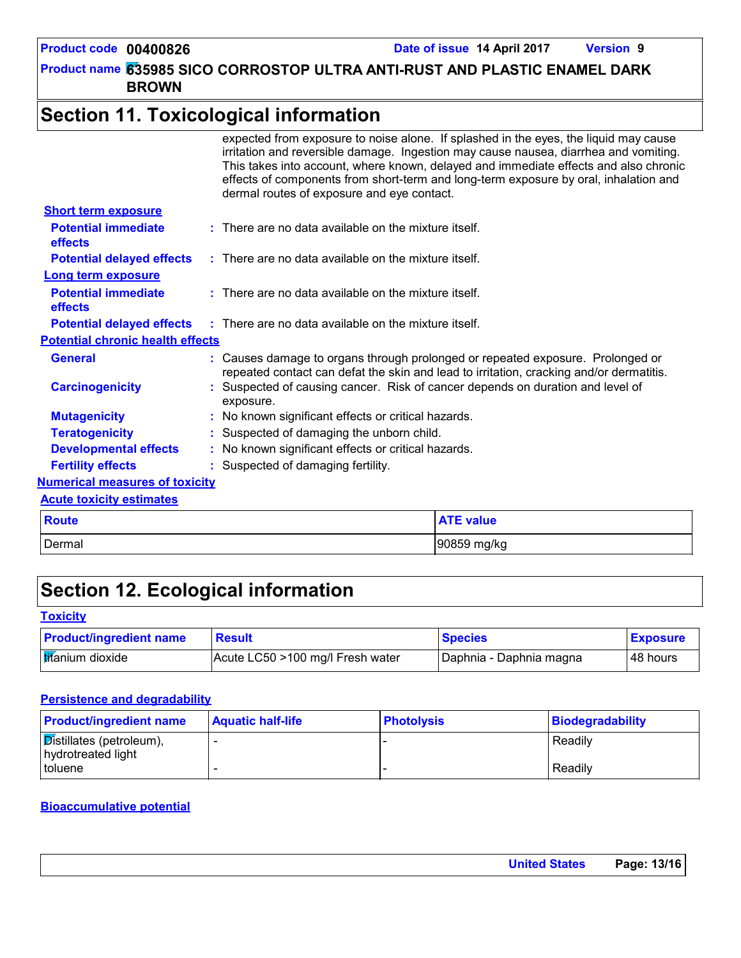## **Section 11. Toxicological information**

|                                              | expected from exposure to noise alone. If splashed in the eyes, the liquid may cause<br>irritation and reversible damage. Ingestion may cause nausea, diarrhea and vomiting.<br>This takes into account, where known, delayed and immediate effects and also chronic<br>effects of components from short-term and long-term exposure by oral, inhalation and<br>dermal routes of exposure and eye contact. |
|----------------------------------------------|------------------------------------------------------------------------------------------------------------------------------------------------------------------------------------------------------------------------------------------------------------------------------------------------------------------------------------------------------------------------------------------------------------|
| <b>Short term exposure</b>                   |                                                                                                                                                                                                                                                                                                                                                                                                            |
| <b>Potential immediate</b><br>effects        | $:$ There are no data available on the mixture itself.                                                                                                                                                                                                                                                                                                                                                     |
| <b>Potential delayed effects</b>             | $\therefore$ There are no data available on the mixture itself.                                                                                                                                                                                                                                                                                                                                            |
| <b>Long term exposure</b>                    |                                                                                                                                                                                                                                                                                                                                                                                                            |
| <b>Potential immediate</b><br><b>effects</b> | : There are no data available on the mixture itself.                                                                                                                                                                                                                                                                                                                                                       |
| <b>Potential delayed effects</b>             | $\pm$ There are no data available on the mixture itself.                                                                                                                                                                                                                                                                                                                                                   |
| <b>Potential chronic health effects</b>      |                                                                                                                                                                                                                                                                                                                                                                                                            |
| <b>General</b>                               | : Causes damage to organs through prolonged or repeated exposure. Prolonged or<br>repeated contact can defat the skin and lead to irritation, cracking and/or dermatitis.                                                                                                                                                                                                                                  |
| <b>Carcinogenicity</b>                       | : Suspected of causing cancer. Risk of cancer depends on duration and level of<br>exposure.                                                                                                                                                                                                                                                                                                                |
| <b>Mutagenicity</b>                          | : No known significant effects or critical hazards.                                                                                                                                                                                                                                                                                                                                                        |
| <b>Teratogenicity</b>                        | : Suspected of damaging the unborn child.                                                                                                                                                                                                                                                                                                                                                                  |
| <b>Developmental effects</b>                 | : No known significant effects or critical hazards.                                                                                                                                                                                                                                                                                                                                                        |
| <b>Fertility effects</b>                     | : Suspected of damaging fertility.                                                                                                                                                                                                                                                                                                                                                                         |
| <b>Numerical measures of toxicity</b>        |                                                                                                                                                                                                                                                                                                                                                                                                            |
| <b>Acute toxicity estimates</b>              |                                                                                                                                                                                                                                                                                                                                                                                                            |
| <b>Route</b>                                 | <b>ATE value</b>                                                                                                                                                                                                                                                                                                                                                                                           |
| Dermal                                       | 90859 mg/kg                                                                                                                                                                                                                                                                                                                                                                                                |

## **Section 12. Ecological information**

#### **Toxicity**

| <b>Product/ingredient name</b> | <b>Result</b>                    | <b>Species</b>          | <b>Exposure</b> |
|--------------------------------|----------------------------------|-------------------------|-----------------|
| <b>tifanium</b> dioxide        | Acute LC50 >100 mg/l Fresh water | Daphnia - Daphnia magna | 48 hours        |

## **Persistence and degradability**

| <b>Product/ingredient name</b>                                 | <b>Aquatic half-life</b> | <b>Photolysis</b> | Biodegradability |
|----------------------------------------------------------------|--------------------------|-------------------|------------------|
| $\sqrt{\text{Distillates}}$ (petroleum),<br>hydrotreated light |                          |                   | Readily          |
| I toluene                                                      |                          |                   | Readily          |

#### **Bioaccumulative potential**

| <b>United States</b> | Page: 13/16 |
|----------------------|-------------|
|----------------------|-------------|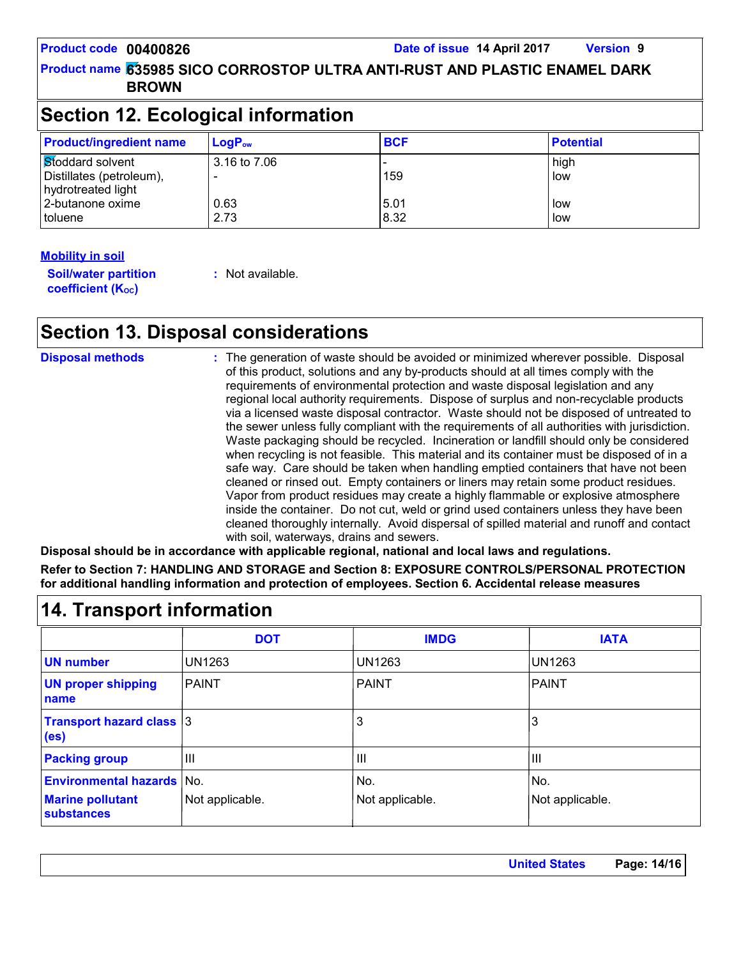## **Section 12. Ecological information**

| <b>Product/ingredient name</b>                                     | $LogP_{ow}$  | <b>BCF</b>   | <b>Potential</b> |  |
|--------------------------------------------------------------------|--------------|--------------|------------------|--|
| Stoddard solvent<br>Distillates (petroleum),<br>hydrotreated light | 3.16 to 7.06 | 159          | high<br>low      |  |
| 2-butanone oxime<br>toluene                                        | 0.63<br>2.73 | 5.01<br>8.32 | low<br>low       |  |

### **Mobility in soil**

**Soil/water partition coefficient (K**<sub>oc</sub>)

**:** Not available.

## **Section 13. Disposal considerations**

| <b>Disposal methods</b> | : The generation of waste should be avoided or minimized wherever possible. Disposal<br>of this product, solutions and any by-products should at all times comply with the<br>requirements of environmental protection and waste disposal legislation and any<br>regional local authority requirements. Dispose of surplus and non-recyclable products<br>via a licensed waste disposal contractor. Waste should not be disposed of untreated to<br>the sewer unless fully compliant with the requirements of all authorities with jurisdiction.<br>Waste packaging should be recycled. Incineration or landfill should only be considered<br>when recycling is not feasible. This material and its container must be disposed of in a<br>safe way. Care should be taken when handling emptied containers that have not been<br>cleaned or rinsed out. Empty containers or liners may retain some product residues.<br>Vapor from product residues may create a highly flammable or explosive atmosphere<br>inside the container. Do not cut, weld or grind used containers unless they have been<br>cleaned thoroughly internally. Avoid dispersal of spilled material and runoff and contact |
|-------------------------|------------------------------------------------------------------------------------------------------------------------------------------------------------------------------------------------------------------------------------------------------------------------------------------------------------------------------------------------------------------------------------------------------------------------------------------------------------------------------------------------------------------------------------------------------------------------------------------------------------------------------------------------------------------------------------------------------------------------------------------------------------------------------------------------------------------------------------------------------------------------------------------------------------------------------------------------------------------------------------------------------------------------------------------------------------------------------------------------------------------------------------------------------------------------------------------------|
|                         | with soil, waterways, drains and sewers.                                                                                                                                                                                                                                                                                                                                                                                                                                                                                                                                                                                                                                                                                                                                                                                                                                                                                                                                                                                                                                                                                                                                                       |

**Disposal should be in accordance with applicable regional, national and local laws and regulations. Refer to Section 7: HANDLING AND STORAGE and Section 8: EXPOSURE CONTROLS/PERSONAL PROTECTION for additional handling information and protection of employees. Section 6. Accidental release measures**

|                                                      | <b>DOT</b>      | <b>IMDG</b>     | <b>IATA</b>     |
|------------------------------------------------------|-----------------|-----------------|-----------------|
| <b>UN number</b>                                     | <b>UN1263</b>   | <b>UN1263</b>   | UN1263          |
| <b>UN proper shipping</b><br>name                    | <b>PAINT</b>    | <b>PAINT</b>    | <b>PAINT</b>    |
| <b>Transport hazard class 3</b><br>(e <sub>s</sub> ) |                 | 3               | 3               |
| <b>Packing group</b>                                 | $\mathbf{III}$  | $\mathbf{III}$  | III             |
| <b>Environmental hazards</b>                         | No.             | No.             | No.             |
| <b>Marine pollutant</b><br><b>substances</b>         | Not applicable. | Not applicable. | Not applicable. |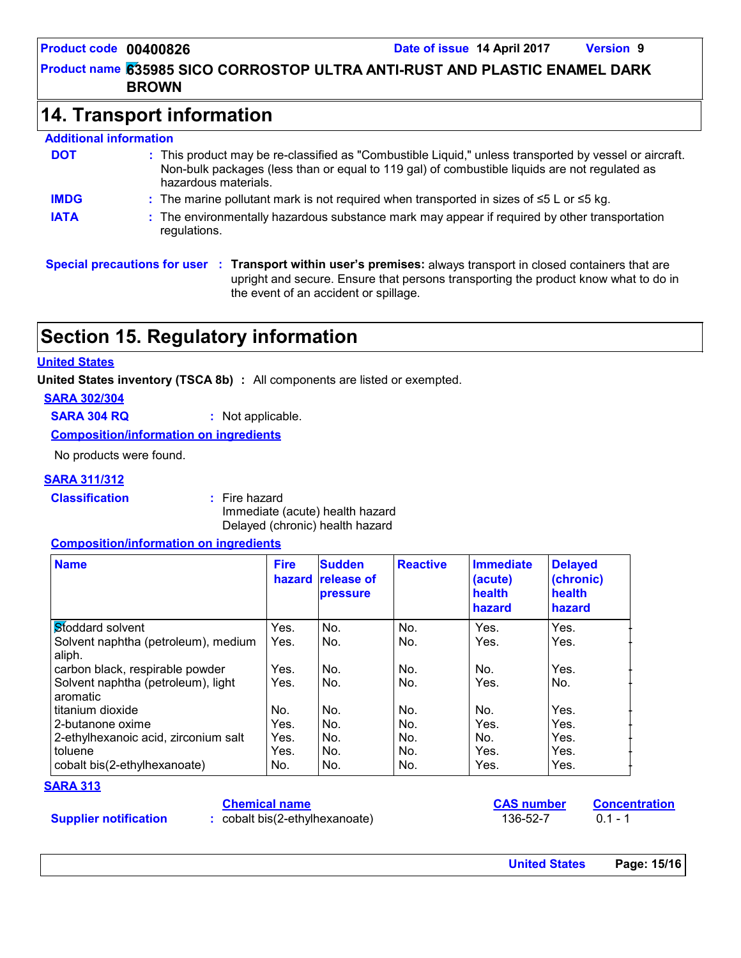## **14. Transport information**

#### **Additional information** This product may be re-classified as "Combustible Liquid," unless transported by vessel or aircraft. **:** Non-bulk packages (less than or equal to 119 gal) of combustible liquids are not regulated as hazardous materials. The marine pollutant mark is not required when transported in sizes of ≤5 L or ≤5 kg. **: DOT IMDG IATA :** The environmentally hazardous substance mark may appear if required by other transportation regulations.

**Special precautions for user Transport within user's premises:** always transport in closed containers that are **:** upright and secure. Ensure that persons transporting the product know what to do in the event of an accident or spillage.

## **Section 15. Regulatory information**

#### **United States**

**United States inventory (TSCA 8b) :** All components are listed or exempted.

#### **SARA 302/304**

**SARA 304 RQ :** Not applicable.

**Composition/information on ingredients**

No products were found.

#### **SARA 311/312**

**Classification :** Fire hazard

Immediate (acute) health hazard Delayed (chronic) health hazard

#### **Composition/information on ingredients**

| <b>Name</b>                                    | <b>Fire</b><br>hazard | <b>Sudden</b><br><b>release of</b><br>pressure | <b>Reactive</b> | <b>Immediate</b><br>(acute)<br>health<br>hazard | <b>Delayed</b><br>(chronic)<br>health<br>hazard |
|------------------------------------------------|-----------------------|------------------------------------------------|-----------------|-------------------------------------------------|-------------------------------------------------|
| Stoddard solvent                               | Yes.                  | No.                                            | No.             | Yes.                                            | Yes.                                            |
| Solvent naphtha (petroleum), medium<br>aliph.  | Yes.                  | No.                                            | No.             | Yes.                                            | Yes.                                            |
| carbon black, respirable powder                | Yes.                  | No.                                            | No.             | No.                                             | Yes.                                            |
| Solvent naphtha (petroleum), light<br>aromatic | Yes.                  | No.                                            | No.             | Yes.                                            | No.                                             |
| titanium dioxide                               | No.                   | No.                                            | No.             | No.                                             | Yes.                                            |
| 2-butanone oxime                               | Yes.                  | No.                                            | No.             | Yes.                                            | Yes.                                            |
| 2-ethylhexanoic acid, zirconium salt           | Yes.                  | No.                                            | No.             | No.                                             | Yes.                                            |
| toluene                                        | Yes.                  | No.                                            | No.             | Yes.                                            | Yes.                                            |
| cobalt bis(2-ethylhexanoate)                   | No.                   | No.                                            | No.             | Yes.                                            | Yes.                                            |

#### **SARA 313**

#### **Chemical name**

**Supplier notification**

**:** cobalt bis(2-ethylhexanoate) 136-52-7 0.1 - 1

**CAS number Concentration**